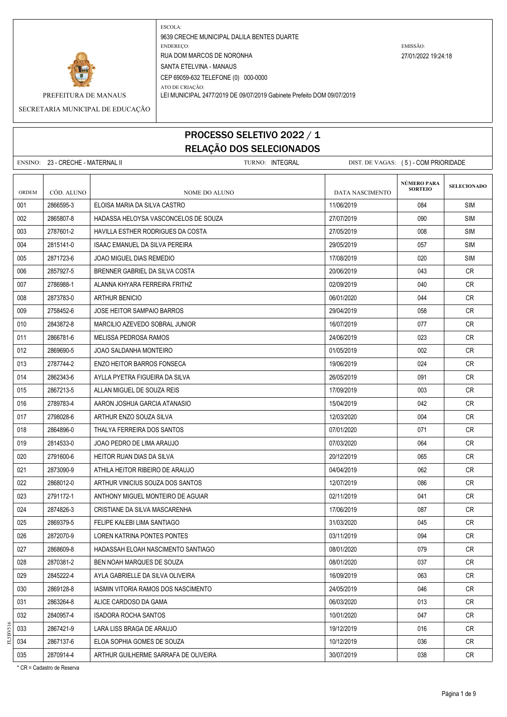

PREFEITURA DE MANAUS LEI MUNICIPAL 2477/2019 DE 09/07/2019 Gabinete Prefeito DOM 09/07/2019

ATO DE CRIAÇÃO:

SECRETARIA MUNICIPAL DE EDUCAÇÃO

### PROCESSO SELETIVO 2022 / 1 RELAÇÃO DOS SELECIONADOS

|       | ENSINO: 23 - CRECHE - MATERNAL II | TURNO: INTEGRAL                          |                 | DIST. DE VAGAS: (5) - COM PRIORIDADE |                    |  |
|-------|-----------------------------------|------------------------------------------|-----------------|--------------------------------------|--------------------|--|
|       |                                   |                                          |                 | NÚMERO PARA                          |                    |  |
| ORDEM | CÓD. ALUNO                        | <b>NOME DO ALUNO</b>                     | DATA NASCIMENTO | <b>SORTEIO</b>                       | <b>SELECIONADO</b> |  |
| 001   | 2866595-3                         | ELOISA MARIA DA SILVA CASTRO             | 11/06/2019      | 084                                  | <b>SIM</b>         |  |
| 002   | 2865807-8                         | HADASSA HELOYSA VASCONCELOS DE SOUZA     | 27/07/2019      | 090                                  | <b>SIM</b>         |  |
| 003   | 2787601-2                         | <b>HAVILLA ESTHER RODRIGUES DA COSTA</b> | 27/05/2019      | 008                                  | <b>SIM</b>         |  |
| 004   | 2815141-0                         | ISAAC EMANUEL DA SILVA PEREIRA           | 29/05/2019      | 057                                  | SIM                |  |
| 005   | 2871723-6                         | JOAO MIGUEL DIAS REMEDIO                 | 17/08/2019      | 020                                  | <b>SIM</b>         |  |
| 006   | 2857927-5                         | BRENNER GABRIEL DA SILVA COSTA           | 20/06/2019      | 043                                  | CR.                |  |
| 007   | 2786988-1                         | ALANNA KHYARA FERREIRA FRITHZ            | 02/09/2019      | 040                                  | <b>CR</b>          |  |
| 008   | 2873783-0                         | <b>ARTHUR BENICIO</b>                    | 06/01/2020      | 044                                  | CR                 |  |
| 009   | 2758452-6                         | JOSE HEITOR SAMPAIO BARROS               | 29/04/2019      | 058                                  | CR.                |  |
| 010   | 2843872-8                         | MARCILIO AZEVEDO SOBRAL JUNIOR           | 16/07/2019      | 077                                  | CR                 |  |
| 011   | 2866781-6                         | MELISSA PEDROSA RAMOS                    | 24/06/2019      | 023                                  | CR                 |  |
| 012   | 2869690-5                         | JOAO SALDANHA MONTEIRO                   | 01/05/2019      | 002                                  | <b>CR</b>          |  |
| 013   | 2787744-2                         | <b>ENZO HEITOR BARROS FONSECA</b>        | 19/06/2019      | 024                                  | <b>CR</b>          |  |
| 014   | 2862343-6                         | AYLLA PYETRA FIGUEIRA DA SILVA           | 26/05/2019      | 091                                  | CR                 |  |
| 015   | 2867213-5                         | ALLAN MIGUEL DE SOUZA REIS               | 17/09/2019      | 003                                  | CR                 |  |
| 016   | 2789783-4                         | AARON JOSHUA GARCIA ATANASIO             | 15/04/2019      | 042                                  | <b>CR</b>          |  |
| 017   | 2798028-6                         | ARTHUR ENZO SOUZA SILVA                  | 12/03/2020      | 004                                  | CR.                |  |
| 018   | 2864896-0                         | THALYA FERREIRA DOS SANTOS               | 07/01/2020      | 071                                  | <b>CR</b>          |  |
| 019   | 2814533-0                         | JOAO PEDRO DE LIMA ARAUJO                | 07/03/2020      | 064                                  | <b>CR</b>          |  |
| 020   | 2791600-6                         | <b>HEITOR RUAN DIAS DA SILVA</b>         | 20/12/2019      | 065                                  | CR                 |  |
| 021   | 2873090-9                         | ATHILA HEITOR RIBEIRO DE ARAUJO          | 04/04/2019      | 062                                  | CR.                |  |
| 022   | 2868012-0                         | ARTHUR VINICIUS SOUZA DOS SANTOS         | 12/07/2019      | 086                                  | <b>CR</b>          |  |
| 023   | 2791172-1                         | ANTHONY MIGUEL MONTEIRO DE AGUIAR        | 02/11/2019      | 041                                  | CR.                |  |
| 024   | 2874826-3                         | CRISTIANE DA SILVA MASCARENHA            | 17/06/2019      | 087                                  | <b>CR</b>          |  |
| 025   | 2869379-5                         | FELIPE KALEBI LIMA SANTIAGO              | 31/03/2020      | 045                                  | CR                 |  |
| 026   | 2872070-9                         | LOREN KATRINA PONTES PONTES              | 03/11/2019      | 094                                  | CR                 |  |
| 027   | 2868609-8                         | HADASSAH ELOAH NASCIMENTO SANTIAGO       | 08/01/2020      | 079                                  | <b>CR</b>          |  |
| 028   | 2870381-2                         | BEN NOAH MARQUES DE SOUZA                | 08/01/2020      | 037                                  | CR                 |  |
| 029   | 2845222-4                         | AYLA GABRIELLE DA SILVA OLIVEIRA         | 16/09/2019      | 063                                  | CR                 |  |
| 030   | 2869128-8                         | IASMIN VITORIA RAMOS DOS NASCIMENTO      | 24/05/2019      | 046                                  | <b>CR</b>          |  |
| 031   | 2863264-8                         | ALICE CARDOSO DA GAMA                    | 06/03/2020      | 013                                  | CR                 |  |
| 032   | 2840957-4                         | ISADORA ROCHA SANTOS                     | 10/01/2020      | 047                                  | CR                 |  |
| 033   | 2867421-9                         | LARA LISS BRAGA DE ARAUJO                | 19/12/2019      | 016                                  | CR                 |  |
| 034   | 2867137-6                         | ELOA SOPHIA GOMES DE SOUZA               | 10/12/2019      | 036                                  | CR                 |  |
| 035   | 2870914-4                         | ARTHUR GUILHERME SARRAFA DE OLIVEIRA     | 30/07/2019      | 038                                  | CR                 |  |

\* CR = Cadastro de Reserva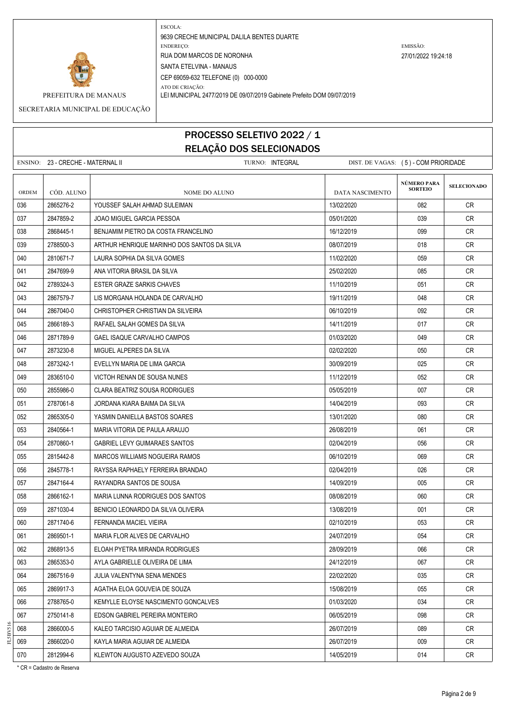

ATO DE CRIAÇÃO:

9639 CRECHE MUNICIPAL DALILA BENTES DUARTE ENDEREÇO: EMISSÃO: RUA DOM MARCOS DE NORONHA 27/01/2022 19:24:18 SANTA ETELVINA - MANAUS CEP 69059-632 TELEFONE (0) 000-0000

PREFEITURA DE MANAUS LEI MUNICIPAL 2477/2019 DE 09/07/2019 Gabinete Prefeito DOM 09/07/2019

SECRETARIA MUNICIPAL DE EDUCAÇÃO

## PROCESSO SELETIVO 2022 / 1 RELAÇÃO DOS SELECIONADOS

ENSINO: 23 - CRECHE - MATERNAL II CHECHE COM PRORIDADE TURNO: INTEGRAL DIST. DE VAGAS: (5) - COM PRIORIDADE

| <b>ORDEM</b> | CÓD. ALUNO | <b>NOME DO ALUNO</b>                        | DATA NASCIMENTO | NÚMERO PARA<br><b>SORTEIO</b> | <b>SELECIONADO</b> |
|--------------|------------|---------------------------------------------|-----------------|-------------------------------|--------------------|
| 036          | 2865276-2  | YOUSSEF SALAH AHMAD SULEIMAN                | 13/02/2020      | 082                           | CR                 |
| 037          | 2847859-2  | JOAO MIGUEL GARCIA PESSOA                   | 05/01/2020      | 039                           | CR                 |
| 038          | 2868445-1  | BENJAMIM PIETRO DA COSTA FRANCELINO         | 16/12/2019      | 099                           | <b>CR</b>          |
| 039          | 2788500-3  | ARTHUR HENRIQUE MARINHO DOS SANTOS DA SILVA | 08/07/2019      | 018                           | CR.                |
| 040          | 2810671-7  | LAURA SOPHIA DA SILVA GOMES                 | 11/02/2020      | 059                           | <b>CR</b>          |
| 041          | 2847699-9  | ANA VITORIA BRASIL DA SILVA                 | 25/02/2020      | 085                           | CR.                |
| 042          | 2789324-3  | <b>ESTER GRAZE SARKIS CHAVES</b>            | 11/10/2019      | 051                           | CR.                |
| 043          | 2867579-7  | LIS MORGANA HOLANDA DE CARVALHO             | 19/11/2019      | 048                           | CR                 |
| 044          | 2867040-0  | CHRISTOPHER CHRISTIAN DA SILVEIRA           | 06/10/2019      | 092                           | CR                 |
| 045          | 2866189-3  | RAFAEL SALAH GOMES DA SILVA                 | 14/11/2019      | 017                           | <b>CR</b>          |
| 046          | 2871789-9  | GAEL ISAQUE CARVALHO CAMPOS                 | 01/03/2020      | 049                           | <b>CR</b>          |
| 047          | 2873230-8  | MIGUEL ALPERES DA SILVA                     | 02/02/2020      | 050                           | <b>CR</b>          |
| 048          | 2873242-1  | EVELLYN MARIA DE LIMA GARCIA                | 30/09/2019      | 025                           | <b>CR</b>          |
| 049          | 2836510-0  | VICTOH RENAN DE SOUSA NUNES                 | 11/12/2019      | 052                           | <b>CR</b>          |
| 050          | 2855986-0  | CLARA BEATRIZ SOUSA RODRIGUES               | 05/05/2019      | 007                           | <b>CR</b>          |
| 051          | 2787061-8  | JORDANA KIARA BAIMA DA SILVA                | 14/04/2019      | 093                           | <b>CR</b>          |
| 052          | 2865305-0  | YASMIN DANIELLA BASTOS SOARES               | 13/01/2020      | 080                           | CR                 |
| 053          | 2840564-1  | MARIA VITORIA DE PAULA ARAUJO               | 26/08/2019      | 061                           | CR                 |
| 054          | 2870860-1  | <b>GABRIEL LEVY GUIMARAES SANTOS</b>        | 02/04/2019      | 056                           | CR                 |
| 055          | 2815442-8  | MARCOS WILLIAMS NOGUEIRA RAMOS              | 06/10/2019      | 069                           | CR.                |
| 056          | 2845778-1  | RAYSSA RAPHAELY FERREIRA BRANDAO            | 02/04/2019      | 026                           | CR.                |
| 057          | 2847164-4  | RAYANDRA SANTOS DE SOUSA                    | 14/09/2019      | 005                           | <b>CR</b>          |
| 058          | 2866162-1  | MARIA LUNNA RODRIGUES DOS SANTOS            | 08/08/2019      | 060                           | CR                 |
| 059          | 2871030-4  | BENICIO LEONARDO DA SILVA OLIVEIRA          | 13/08/2019      | 001                           | CR.                |
| 060          | 2871740-6  | FERNANDA MACIEL VIEIRA                      | 02/10/2019      | 053                           | CR                 |
| 061          | 2869501-1  | MARIA FLOR ALVES DE CARVALHO                | 24/07/2019      | 054                           | CR.                |
| 062          | 2868913-5  | ELOAH PYETRA MIRANDA RODRIGUES              | 28/09/2019      | 066                           | <b>CR</b>          |
| 063          | 2865353-0  | AYLA GABRIELLE OLIVEIRA DE LIMA             | 24/12/2019      | 067                           | CR                 |
| 064          | 2867516-9  | JULIA VALENTYNA SENA MENDES                 | 22/02/2020      | 035                           | CR                 |
| 065          | 2869917-3  | AGATHA ELOA GOUVEIA DE SOUZA                | 15/08/2019      | 055                           | <b>CR</b>          |
| 066          | 2788765-0  | KEMYLLE ELOYSE NASCIMENTO GONCALVES         | 01/03/2020      | 034                           | CR                 |
| 067          | 2750141-8  | EDSON GABRIEL PEREIRA MONTEIRO              | 06/05/2019      | 098                           | CR                 |
| 068          | 2866000-5  | KALEO TARCISIO AGUIAR DE ALMEIDA            | 26/07/2019      | 089                           | <b>CR</b>          |
| 069          | 2866020-0  | KAYLA MARIA AGUIAR DE ALMEIDA               | 26/07/2019      | 009                           | CR                 |
| 070          | 2812994-6  | KLEWTON AUGUSTO AZEVEDO SOUZA               | 14/05/2019      | 014                           | CR                 |

\* CR = Cadastro de Reserva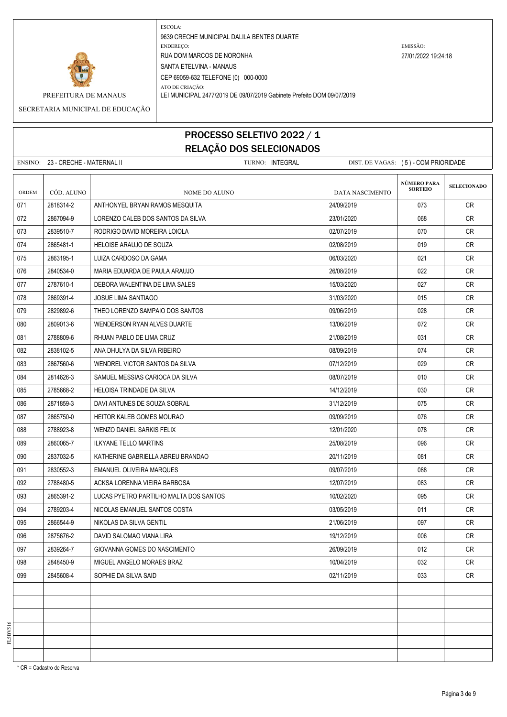

ATO DE CRIAÇÃO: PREFEITURA DE MANAUS LEI MUNICIPAL 2477/2019 DE 09/07/2019 Gabinete Prefeito DOM 09/07/2019

SECRETARIA MUNICIPAL DE EDUCAÇÃO

# PROCESSO SELETIVO 2022 / 1 RELAÇÃO DOS SELECIONADOS

|       | ENSINO: 23 - CRECHE - MATERNAL II | TURNO: INTEGRAL                        | DIST. DE VAGAS: (5) - COM PRIORIDADE |                                      |                    |
|-------|-----------------------------------|----------------------------------------|--------------------------------------|--------------------------------------|--------------------|
| ORDEM | CÓD. ALUNO                        | NOME DO ALUNO                          | <b>DATA NASCIMENTO</b>               | <b>NÚMERO PARA</b><br><b>SORTEIO</b> | <b>SELECIONADO</b> |
| 071   | 2818314-2                         | ANTHONYEL BRYAN RAMOS MESQUITA         | 24/09/2019                           | 073                                  | <b>CR</b>          |
| 072   | 2867094-9                         | LORENZO CALEB DOS SANTOS DA SILVA      | 23/01/2020                           | 068                                  | <b>CR</b>          |
| 073   | 2839510-7                         | RODRIGO DAVID MOREIRA LOIOLA           | 02/07/2019                           | 070                                  | CR.                |
| 074   | 2865481-1                         | HELOISE ARAUJO DE SOUZA                | 02/08/2019                           | 019                                  | <b>CR</b>          |
| 075   | 2863195-1                         | LUIZA CARDOSO DA GAMA                  | 06/03/2020                           | 021                                  | CR                 |
| 076   | 2840534-0                         | MARIA EDUARDA DE PAULA ARAUJO          | 26/08/2019                           | 022                                  | CR.                |
| 077   | 2787610-1                         | DEBORA WALENTINA DE LIMA SALES         | 15/03/2020                           | 027                                  | <b>CR</b>          |
| 078   | 2869391-4                         | JOSUE LIMA SANTIAGO                    | 31/03/2020                           | 015                                  | CR                 |
| 079   | 2829892-6                         | THEO LORENZO SAMPAIO DOS SANTOS        | 09/06/2019                           | 028                                  | CR                 |
| 080   | 2809013-6                         | WENDERSON RYAN ALVES DUARTE            | 13/06/2019                           | 072                                  | <b>CR</b>          |
| 081   | 2788809-6                         | RHUAN PABLO DE LIMA CRUZ               | 21/08/2019                           | 031                                  | <b>CR</b>          |
| 082   | 2838102-5                         | ANA DHULYA DA SILVA RIBEIRO            | 08/09/2019                           | 074                                  | CR                 |
| 083   | 2867560-6                         | WENDREL VICTOR SANTOS DA SILVA         | 07/12/2019                           | 029                                  | <b>CR</b>          |
| 084   | 2814626-3                         | SAMUEL MESSIAS CARIOCA DA SILVA        | 08/07/2019                           | 010                                  | <b>CR</b>          |
| 085   | 2785668-2                         | <b>HELOISA TRINDADE DA SILVA</b>       | 14/12/2019                           | 030                                  | <b>CR</b>          |
| 086   | 2871859-3                         | DAVI ANTUNES DE SOUZA SOBRAL           | 31/12/2019                           | 075                                  | <b>CR</b>          |
| 087   | 2865750-0                         | <b>HEITOR KALEB GOMES MOURAO</b>       | 09/09/2019                           | 076                                  | CR                 |
| 088   | 2788923-8                         | WENZO DANIEL SARKIS FELIX              | 12/01/2020                           | 078                                  | <b>CR</b>          |
| 089   | 2860065-7                         | <b>ILKYANE TELLO MARTINS</b>           | 25/08/2019                           | 096                                  | <b>CR</b>          |
| 090   | 2837032-5                         | KATHERINE GABRIELLA ABREU BRANDAO      | 20/11/2019                           | 081                                  | CR                 |
| 091   | 2830552-3                         | EMANUEL OLIVEIRA MARQUES               | 09/07/2019                           | 088                                  | <b>CR</b>          |
| 092   | 2788480-5                         | ACKSA LORENNA VIEIRA BARBOSA           | 12/07/2019                           | 083                                  | CR                 |
| 093   | 2865391-2                         | LUCAS PYETRO PARTILHO MALTA DOS SANTOS | 10/02/2020                           | 095                                  | CR                 |
| 094   | 2789203-4                         | NICOLAS EMANUEL SANTOS COSTA           | 03/05/2019                           | 011                                  | <b>CR</b>          |
| 095   | 2866544-9                         | NIKOLAS DA SILVA GENTIL                | 21/06/2019                           | 097                                  | CR                 |
| 096   | 2875676-2                         | DAVID SALOMAO VIANA LIRA               | 19/12/2019                           | 006                                  | CR                 |
| 097   | 2839264-7                         | GIOVANNA GOMES DO NASCIMENTO           | 26/09/2019                           | 012                                  | <b>CR</b>          |
| 098   | 2848450-9                         | MIGUEL ANGELO MORAES BRAZ              | 10/04/2019                           | 032                                  | <b>CR</b>          |
| 099   | 2845608-4                         | SOPHIE DA SILVA SAID                   | 02/11/2019                           | 033                                  | <b>CR</b>          |
|       |                                   |                                        |                                      |                                      |                    |
|       |                                   |                                        |                                      |                                      |                    |
|       |                                   |                                        |                                      |                                      |                    |
|       |                                   |                                        |                                      |                                      |                    |
|       |                                   |                                        |                                      |                                      |                    |
|       |                                   |                                        |                                      |                                      |                    |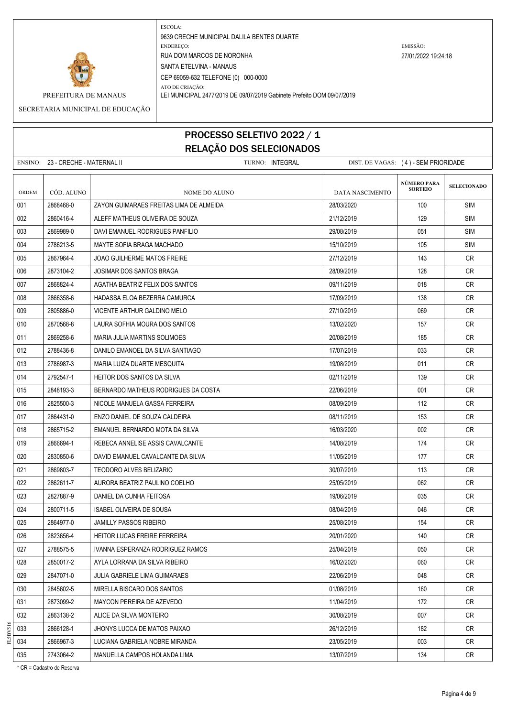

ATO DE CRIAÇÃO: PREFEITURA DE MANAUS LEI MUNICIPAL 2477/2019 DE 09/07/2019 Gabinete Prefeito DOM 09/07/2019

SECRETARIA MUNICIPAL DE EDUCAÇÃO

# PROCESSO SELETIVO 2022 / 1 RELAÇÃO DOS SELECIONADOS

|       | ENSINO: 23 - CRECHE - MATERNAL II |                                         | TURNO: INTEGRAL |                 | DIST. DE VAGAS: (4) - SEM PRIORIDADE |                    |
|-------|-----------------------------------|-----------------------------------------|-----------------|-----------------|--------------------------------------|--------------------|
| ORDEM | CÓD. ALUNO                        | NOME DO ALUNO                           |                 | DATA NASCIMENTO | NÚMERO PARA<br><b>SORTEIO</b>        | <b>SELECIONADO</b> |
| 001   | 2868468-0                         | ZAYON GUIMARAES FREITAS LIMA DE ALMEIDA |                 | 28/03/2020      | 100                                  | <b>SIM</b>         |
| 002   | 2860416-4                         | ALEFF MATHEUS OLIVEIRA DE SOUZA         |                 | 21/12/2019      | 129                                  | <b>SIM</b>         |
| 003   | 2869989-0                         | DAVI EMANUEL RODRIGUES PANFILIO         |                 | 29/08/2019      | 051                                  | <b>SIM</b>         |
| 004   | 2786213-5                         | MAYTE SOFIA BRAGA MACHADO               |                 | 15/10/2019      | 105                                  | SIM                |
| 005   | 2867964-4                         | JOAO GUILHERME MATOS FREIRE             |                 | 27/12/2019      | 143                                  | CR                 |
| 006   | 2873104-2                         | JOSIMAR DOS SANTOS BRAGA                |                 | 28/09/2019      | 128                                  | CR.                |
| 007   | 2868824-4                         | AGATHA BEATRIZ FELIX DOS SANTOS         |                 | 09/11/2019      | 018                                  | CR.                |
| 008   | 2866358-6                         | HADASSA ELOA BEZERRA CAMURCA            |                 | 17/09/2019      | 138                                  | CR                 |
| 009   | 2805886-0                         | VICENTE ARTHUR GALDINO MELO             |                 | 27/10/2019      | 069                                  | CR                 |
| 010   | 2870568-8                         | LAURA SOFHIA MOURA DOS SANTOS           |                 | 13/02/2020      | 157                                  | <b>CR</b>          |
| 011   | 2869258-6                         | MARIA JULIA MARTINS SOLIMOES            |                 | 20/08/2019      | 185                                  | CR                 |
| 012   | 2788436-8                         | DANILO EMANOEL DA SILVA SANTIAGO        |                 | 17/07/2019      | 033                                  | CR                 |
| 013   | 2786987-3                         | MARIA LUIZA DUARTE MESQUITA             |                 | 19/08/2019      | 011                                  | <b>CR</b>          |
| 014   | 2792547-1                         | HEITOR DOS SANTOS DA SILVA              |                 | 02/11/2019      | 139                                  | CR.                |
| 015   | 2848193-3                         | BERNARDO MATHEUS RODRIGUES DA COSTA     |                 | 22/06/2019      | 001                                  | CR.                |
| 016   | 2825500-3                         | NICOLE MANUELA GASSA FERREIRA           |                 | 08/09/2019      | 112                                  | CR.                |
| 017   | 2864431-0                         | ENZO DANIEL DE SOUZA CALDEIRA           |                 | 08/11/2019      | 153                                  | CR.                |
| 018   | 2865715-2                         | EMANUEL BERNARDO MOTA DA SILVA          |                 | 16/03/2020      | 002                                  | CR.                |
| 019   | 2866694-1                         | REBECA ANNELISE ASSIS CAVALCANTE        |                 | 14/08/2019      | 174                                  | <b>CR</b>          |
| 020   | 2830850-6                         | DAVID EMANUEL CAVALCANTE DA SILVA       |                 | 11/05/2019      | 177                                  | CR.                |
| 021   | 2869803-7                         | TEODORO ALVES BELIZARIO                 |                 | 30/07/2019      | 113                                  | CR.                |
| 022   | 2862611-7                         | AURORA BEATRIZ PAULINO COELHO           |                 | 25/05/2019      | 062                                  | CR                 |
| 023   | 2827887-9                         | DANIEL DA CUNHA FEITOSA                 |                 | 19/06/2019      | 035                                  | CR.                |
| 024   | 2800711-5                         | <b>ISABEL OLIVEIRA DE SOUSA</b>         |                 | 08/04/2019      | 046                                  | <b>CR</b>          |
| 025   | 2864977-0                         | <b>JAMILLY PASSOS RIBEIRO</b>           |                 | 25/08/2019      | 154                                  | CR                 |
| 026   | 2823656-4                         | <b>HEITOR LUCAS FREIRE FERREIRA</b>     |                 | 20/01/2020      | 140                                  | <b>CR</b>          |
| 027   | 2788575-5                         | IVANNA ESPERANZA RODRIGUEZ RAMOS        |                 | 25/04/2019      | 050                                  | <b>CR</b>          |
| 028   | 2850017-2                         | AYLA LORRANA DA SILVA RIBEIRO           |                 | 16/02/2020      | 060                                  | CR                 |
| 029   | 2847071-0                         | JULIA GABRIELE LIMA GUIMARAES           |                 | 22/06/2019      | 048                                  | CR                 |
| 030   | 2845602-5                         | MIRELLA BISCARO DOS SANTOS              |                 | 01/08/2019      | 160                                  | CR                 |
| 031   | 2873099-2                         | MAYCON PEREIRA DE AZEVEDO               |                 | 11/04/2019      | 172                                  | <b>CR</b>          |
| 032   | 2863138-2                         | ALICE DA SILVA MONTEIRO                 |                 | 30/08/2019      | 007                                  | CR                 |
| 033   | 2866128-1                         | JHONYS LUCCA DE MATOS PAIXAO            |                 | 26/12/2019      | 182                                  | CR                 |
| 034   | 2866967-3                         | LUCIANA GABRIELA NOBRE MIRANDA          |                 | 23/05/2019      | 003                                  | CR                 |
| 035   | 2743064-2                         | MANUELLA CAMPOS HOLANDA LIMA            |                 | 13/07/2019      | 134                                  | CR                 |

\* CR = Cadastro de Reserva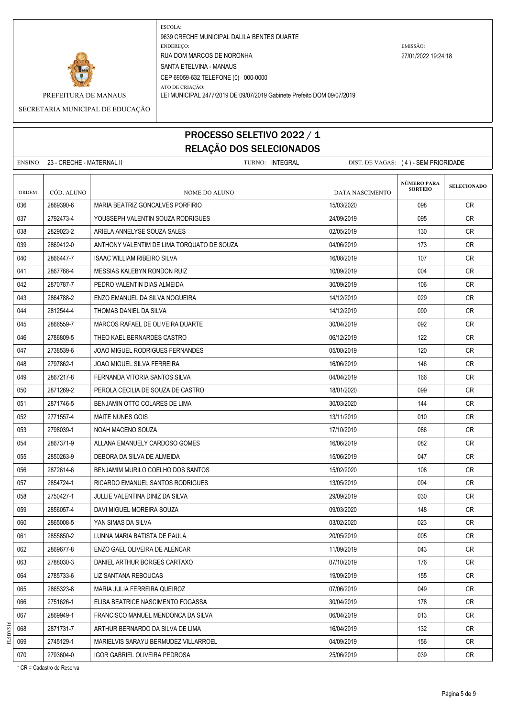

ATO DE CRIAÇÃO: PREFEITURA DE MANAUS LEI MUNICIPAL 2477/2019 DE 09/07/2019 Gabinete Prefeito DOM 09/07/2019

SECRETARIA MUNICIPAL DE EDUCAÇÃO

## PROCESSO SELETIVO 2022 / 1 RELAÇÃO DOS SELECIONADOS

|       | ENSINO: 23 - CRECHE - MATERNAL II | TURNO: INTEGRAL                            | DIST. DE VAGAS: (4) - SEM PRIORIDADE |                               |                    |  |
|-------|-----------------------------------|--------------------------------------------|--------------------------------------|-------------------------------|--------------------|--|
| ORDEM | CÓD. ALUNO                        | NOME DO ALUNO                              | <b>DATA NASCIMENTO</b>               | NÚMERO PARA<br><b>SORTEIO</b> | <b>SELECIONADO</b> |  |
| 036   | 2869390-6                         | MARIA BEATRIZ GONCALVES PORFIRIO           | 15/03/2020                           | 098                           | CR                 |  |
| 037   | 2792473-4                         | YOUSSEPH VALENTIN SOUZA RODRIGUES          | 24/09/2019                           | 095                           | CR                 |  |
| 038   | 2829023-2                         | ARIELA ANNELYSE SOUZA SALES                | 02/05/2019                           | 130                           | CR                 |  |
| 039   | 2869412-0                         | ANTHONY VALENTIM DE LIMA TORQUATO DE SOUZA | 04/06/2019                           | 173                           | <b>CR</b>          |  |
| 040   | 2866447-7                         | <b>ISAAC WILLIAM RIBEIRO SILVA</b>         | 16/08/2019                           | 107                           | CR.                |  |
| 041   | 2867768-4                         | MESSIAS KALEBYN RONDON RUIZ                | 10/09/2019                           | 004                           | CR                 |  |
| 042   | 2870787-7                         | PEDRO VALENTIN DIAS ALMEIDA                | 30/09/2019                           | 106                           | CR                 |  |
| 043   | 2864788-2                         | ENZO EMANUEL DA SILVA NOGUEIRA             | 14/12/2019                           | 029                           | CR.                |  |
| 044   | 2812544-4                         | THOMAS DANIEL DA SILVA                     | 14/12/2019                           | 090                           | CR                 |  |
| 045   | 2866559-7                         | MARCOS RAFAEL DE OLIVEIRA DUARTE           | 30/04/2019                           | 092                           | CR                 |  |
| 046   | 2786809-5                         | THEO KAEL BERNARDES CASTRO                 | 06/12/2019                           | 122                           | CR                 |  |
| 047   | 2738539-6                         | JOAO MIGUEL RODRIGUES FERNANDES            | 05/08/2019                           | 120                           | CR.                |  |
| 048   | 2797862-1                         | JOAO MIGUEL SILVA FERREIRA                 | 16/06/2019                           | 146                           | CR                 |  |
| 049   | 2867217-8                         | FERNANDA VITORIA SANTOS SILVA              | 04/04/2019                           | 166                           | CR.                |  |
| 050   | 2871269-2                         | PEROLA CECILIA DE SOUZA DE CASTRO          | 18/01/2020                           | 099                           | <b>CR</b>          |  |
| 051   | 2871746-5                         | BENJAMIN OTTO COLARES DE LIMA              | 30/03/2020                           | 144                           | CR                 |  |
| 052   | 2771557-4                         | <b>MAITE NUNES GOIS</b>                    | 13/11/2019                           | 010                           | CR                 |  |
| 053   | 2798039-1                         | NOAH MACENO SOUZA                          | 17/10/2019                           | 086                           | CR                 |  |
| 054   | 2867371-9                         | ALLANA EMANUELY CARDOSO GOMES              | 16/06/2019                           | 082                           | CR                 |  |
| 055   | 2850263-9                         | DEBORA DA SILVA DE ALMEIDA                 | 15/06/2019                           | 047                           | <b>CR</b>          |  |
| 056   | 2872614-6                         | BENJAMIM MURILO COELHO DOS SANTOS          | 15/02/2020                           | 108                           | CR                 |  |
| 057   | 2854724-1                         | RICARDO EMANUEL SANTOS RODRIGUES           | 13/05/2019                           | 094                           | CR                 |  |
| 058   | 2750427-1                         | JULLIE VALENTINA DINIZ DA SILVA            | 29/09/2019                           | 030                           | CR                 |  |
| 059   | 2856057-4                         | DAVI MIGUEL MOREIRA SOUZA                  | 09/03/2020                           | 148                           | CR                 |  |
| 060   | 2865008-5                         | YAN SIMAS DA SILVA                         | 03/02/2020                           | 023                           | CR                 |  |
| 061   | 2855850-2                         | LUNNA MARIA BATISTA DE PAULA               | 20/05/2019                           | 005                           | <b>CR</b>          |  |
| 062   | 2869677-8                         | ENZO GAEL OLIVEIRA DE ALENCAR              | 11/09/2019                           | 043                           | <b>CR</b>          |  |
| 063   | 2788030-3                         | DANIEL ARTHUR BORGES CARTAXO               | 07/10/2019                           | 176                           | CR                 |  |
| 064   | 2785733-6                         | LIZ SANTANA REBOUCAS                       | 19/09/2019                           | 155                           | <b>CR</b>          |  |
| 065   | 2865323-8                         | MARIA JULIA FERREIRA QUEIROZ               | 07/06/2019                           | 049                           | CR                 |  |
| 066   | 2751626-1                         | ELISA BEATRICE NASCIMENTO FOGASSA          | 30/04/2019                           | 178                           | CR                 |  |
| 067   | 2869949-1                         | FRANCISCO MANUEL MENDONCA DA SILVA         | 06/04/2019                           | 013                           | <b>CR</b>          |  |
| 068   | 2871731-7                         | ARTHUR BERNARDO DA SILVA DE LIMA           | 16/04/2019                           | 132                           | CR                 |  |
| 069   | 2745129-1                         | MARIELVIS SARAYU BERMUDEZ VILLARROEL       | 04/09/2019                           | 156                           | CR                 |  |
| 070   | 2793604-0                         | IGOR GABRIEL OLIVEIRA PEDROSA              | 25/06/2019                           | 039                           | CR                 |  |

\* CR = Cadastro de Reserva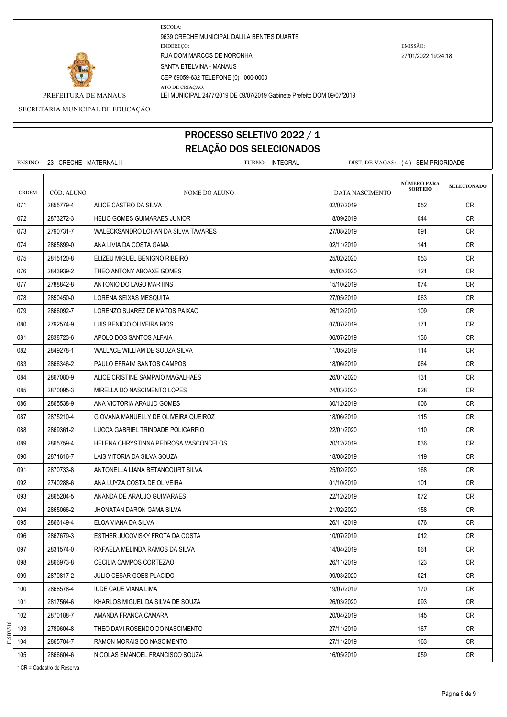



ATO DE CRIAÇÃO: PREFEITURA DE MANAUS LEI MUNICIPAL 2477/2019 DE 09/07/2019 Gabinete Prefeito DOM 09/07/2019

SECRETARIA MUNICIPAL DE EDUCAÇÃO

## PROCESSO SELETIVO 2022 / 1 RELAÇÃO DOS SELECIONADOS

|       | ENSINO: 23 - CRECHE - MATERNAL II | TURNO: INTEGRAL                       | DIST. DE VAGAS: (4) - SEM PRIORIDADE |                                      |                    |  |
|-------|-----------------------------------|---------------------------------------|--------------------------------------|--------------------------------------|--------------------|--|
| ORDEM | CÓD. ALUNO                        | NOME DO ALUNO                         | DATA NASCIMENTO                      | <b>NÚMERO PARA</b><br><b>SORTEIO</b> | <b>SELECIONADO</b> |  |
| 071   | 2855779-4                         | ALICE CASTRO DA SILVA                 | 02/07/2019                           | 052                                  | <b>CR</b>          |  |
| 072   | 2873272-3                         | <b>HELIO GOMES GUIMARAES JUNIOR</b>   | 18/09/2019                           | 044                                  | <b>CR</b>          |  |
| 073   | 2790731-7                         | WALECKSANDRO LOHAN DA SILVA TAVARES   | 27/08/2019                           | 091                                  | CR                 |  |
| 074   | 2865899-0                         | ANA LIVIA DA COSTA GAMA               | 02/11/2019                           | 141                                  | CR                 |  |
| 075   | 2815120-8                         | ELIZEU MIGUEL BENIGNO RIBEIRO         | 25/02/2020                           | 053                                  | <b>CR</b>          |  |
| 076   | 2843939-2                         | THEO ANTONY ABOAXE GOMES              | 05/02/2020                           | 121                                  | <b>CR</b>          |  |
| 077   | 2788842-8                         | ANTONIO DO LAGO MARTINS               | 15/10/2019                           | 074                                  | CR                 |  |
| 078   | 2850450-0                         | LORENA SEIXAS MESQUITA                | 27/05/2019                           | 063                                  | <b>CR</b>          |  |
| 079   | 2866092-7                         | LORENZO SUAREZ DE MATOS PAIXAO        | 26/12/2019                           | 109                                  | CR                 |  |
| 080   | 2792574-9                         | LUIS BENICIO OLIVEIRA RIOS            | 07/07/2019                           | 171                                  | CR                 |  |
| 081   | 2838723-6                         | APOLO DOS SANTOS ALFAIA               | 06/07/2019                           | 136                                  | <b>CR</b>          |  |
| 082   | 2849278-1                         | WALLACE WILLIAM DE SOUZA SILVA        | 11/05/2019                           | 114                                  | CR                 |  |
| 083   | 2866346-2                         | PAULO EFRAIM SANTOS CAMPOS            | 18/06/2019                           | 064                                  | <b>CR</b>          |  |
| 084   | 2867080-9                         | ALICE CRISTINE SAMPAIO MAGALHAES      | 26/01/2020                           | 131                                  | <b>CR</b>          |  |
| 085   | 2870095-3                         | MIRELLA DO NASCIMENTO LOPES           | 24/03/2020                           | 028                                  | CR.                |  |
| 086   | 2865538-9                         | ANA VICTORIA ARAUJO GOMES             | 30/12/2019                           | 006                                  | CR.                |  |
| 087   | 2875210-4                         | GIOVANA MANUELLY DE OLIVEIRA QUEIROZ  | 18/06/2019                           | 115                                  | CR                 |  |
| 088   | 2869361-2                         | LUCCA GABRIEL TRINDADE POLICARPIO     | 22/01/2020                           | 110                                  | <b>CR</b>          |  |
| 089   | 2865759-4                         | HELENA CHRYSTINNA PEDROSA VASCONCELOS | 20/12/2019                           | 036                                  | <b>CR</b>          |  |
| 090   | 2871616-7                         | LAIS VITORIA DA SILVA SOUZA           | 18/08/2019                           | 119                                  | CR                 |  |
| 091   | 2870733-8                         | ANTONELLA LIANA BETANCOURT SILVA      | 25/02/2020                           | 168                                  | CR.                |  |
| 092   | 2740288-6                         | ANA LUYZA COSTA DE OLIVEIRA           | 01/10/2019                           | 101                                  | <b>CR</b>          |  |
| 093   | 2865204-5                         | ANANDA DE ARAUJO GUIMARAES            | 22/12/2019                           | 072                                  | CR                 |  |
| 094   | 2865066-2                         | JHONATAN DARON GAMA SILVA             | 21/02/2020                           | 158                                  | CR                 |  |
| 095   | 2866149-4                         | ELOA VIANA DA SILVA                   | 26/11/2019                           | 076                                  | <b>CR</b>          |  |
| 096   | 2867679-3                         | ESTHER JUCOVISKY FROTA DA COSTA       | 10/07/2019                           | 012                                  | CR                 |  |
| 097   | 2831574-0                         | RAFAELA MELINDA RAMOS DA SILVA        | 14/04/2019                           | 061                                  | CR                 |  |
| 098   | 2866973-8                         | CECILIA CAMPOS CORTEZAO               | 26/11/2019                           | 123                                  | CR                 |  |
| 099   | 2870817-2                         | <b>JULIO CESAR GOES PLACIDO</b>       | 09/03/2020                           | 021                                  | CR                 |  |
| 100   | 2868578-4                         | <b>IUDE CAUE VIANA LIMA</b>           | 19/07/2019                           | 170                                  | <b>CR</b>          |  |
| 101   | 2817564-6                         | KHARLOS MIGUEL DA SILVA DE SOUZA      | 26/03/2020                           | 093                                  | CR                 |  |
| 102   | 2870188-7                         | AMANDA FRANCA CAMARA                  | 20/04/2019                           | 145                                  | CR                 |  |
| 103   | 2789604-8                         | THEO DAVI ROSENDO DO NASCIMENTO       | 27/11/2019                           | 167                                  | CR                 |  |
| 104   | 2865704-7                         | RAMON MORAIS DO NASCIMENTO            | 27/11/2019                           | 163                                  | CR                 |  |

105 2866604-6 NICOLAS EMANOEL FRANCISCO SOUZA 16/05/2019 16/05/2019 059 CR

\* CR = Cadastro de Reserva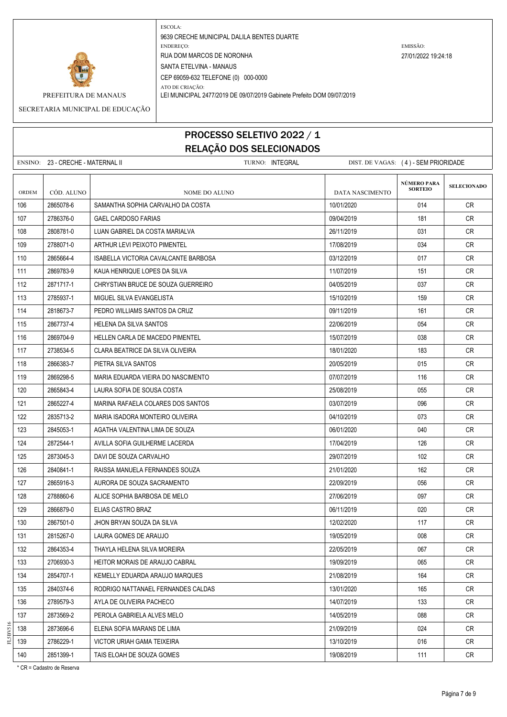

ATO DE CRIAÇÃO:

PREFEITURA DE MANAUS LEI MUNICIPAL 2477/2019 DE 09/07/2019 Gabinete Prefeito DOM 09/07/2019 SECRETARIA MUNICIPAL DE EDUCAÇÃO

> PROCESSO SELETIVO 2022 / 1 RELAÇÃO DOS SELECIONADOS

ENSINO: 23 - CRECHE - MATERNAL II CHECHE - MATERNAL II TURNO: INTEGRAL DIST. DE VAGAS: (4) - SEM PRIORIDADE

| <b>ORDEM</b> | CÓD. ALUNO | NOME DO ALUNO                        | DATA NASCIMENTO | <b>NÚMERO PARA</b><br><b>SORTEIO</b> | <b>SELECIONADO</b> |
|--------------|------------|--------------------------------------|-----------------|--------------------------------------|--------------------|
| 106          | 2865078-6  | SAMANTHA SOPHIA CARVALHO DA COSTA    | 10/01/2020      | 014                                  | CR                 |
| 107          | 2786376-0  | GAEL CARDOSO FARIAS                  | 09/04/2019      | 181                                  | CR                 |
| 108          | 2808781-0  | LUAN GABRIEL DA COSTA MARIALVA       | 26/11/2019      | 031                                  | CR                 |
| 109          | 2788071-0  | ARTHUR LEVI PEIXOTO PIMENTEL         | 17/08/2019      | 034                                  | CR                 |
| 110          | 2865664-4  | ISABELLA VICTORIA CAVALCANTE BARBOSA | 03/12/2019      | 017                                  | <b>CR</b>          |
| 111          | 2869783-9  | KAUA HENRIQUE LOPES DA SILVA         | 11/07/2019      | 151                                  | <b>CR</b>          |
| 112          | 2871717-1  | CHRYSTIAN BRUCE DE SOUZA GUERREIRO   | 04/05/2019      | 037                                  | CR                 |
| 113          | 2785937-1  | MIGUEL SILVA EVANGELISTA             | 15/10/2019      | 159                                  | <b>CR</b>          |
| 114          | 2818673-7  | PEDRO WILLIAMS SANTOS DA CRUZ        | 09/11/2019      | 161                                  | <b>CR</b>          |
| 115          | 2867737-4  | HELENA DA SILVA SANTOS               | 22/06/2019      | 054                                  | CR                 |
| 116          | 2869704-9  | HELLEN CARLA DE MACEDO PIMENTEL      | 15/07/2019      | 038                                  | CR                 |
| 117          | 2738534-5  | CLARA BEATRICE DA SILVA OLIVEIRA     | 18/01/2020      | 183                                  | <b>CR</b>          |
| 118          | 2866383-7  | PIETRA SILVA SANTOS                  | 20/05/2019      | 015                                  | CR                 |
| 119          | 2869298-5  | MARIA EDUARDA VIEIRA DO NASCIMENTO   | 07/07/2019      | 116                                  | <b>CR</b>          |
| 120          | 2865843-4  | LAURA SOFIA DE SOUSA COSTA           | 25/08/2019      | 055                                  | CR                 |
| 121          | 2865227-4  | MARINA RAFAELA COLARES DOS SANTOS    | 03/07/2019      | 096                                  | CR                 |
| 122          | 2835713-2  | MARIA ISADORA MONTEIRO OLIVEIRA      | 04/10/2019      | 073                                  | <b>CR</b>          |
| 123          | 2845053-1  | AGATHA VALENTINA LIMA DE SOUZA       | 06/01/2020      | 040                                  | CR                 |
| 124          | 2872544-1  | AVILLA SOFIA GUILHERME LACERDA       | 17/04/2019      | 126                                  | CR                 |
| 125          | 2873045-3  | DAVI DE SOUZA CARVALHO               | 29/07/2019      | 102                                  | <b>CR</b>          |
| 126          | 2840841-1  | RAISSA MANUELA FERNANDES SOUZA       | 21/01/2020      | 162                                  | CR.                |
| 127          | 2865916-3  | AURORA DE SOUZA SACRAMENTO           | 22/09/2019      | 056                                  | <b>CR</b>          |
| 128          | 2788860-6  | ALICE SOPHIA BARBOSA DE MELO         | 27/06/2019      | 097                                  | <b>CR</b>          |
| 129          | 2866879-0  | ELIAS CASTRO BRAZ                    | 06/11/2019      | 020                                  | CR                 |
| 130          | 2867501-0  | JHON BRYAN SOUZA DA SILVA            | 12/02/2020      | 117                                  | <b>CR</b>          |
| 131          | 2815267-0  | LAURA GOMES DE ARAUJO                | 19/05/2019      | 008                                  | CR                 |
| 132          | 2864353-4  | THAYLA HELENA SILVA MOREIRA          | 22/05/2019      | 067                                  | <b>CR</b>          |
| 133          | 2706930-3  | HEITOR MORAIS DE ARAUJO CABRAL       | 19/09/2019      | 065                                  | <b>CR</b>          |
| 134          | 2854707-1  | KEMELLY EDUARDA ARAUJO MARQUES       | 21/08/2019      | 164                                  | CR                 |
| 135          | 2840374-6  | RODRIGO NATTANAEL FERNANDES CALDAS   | 13/01/2020      | 165                                  | CR                 |
| 136          | 2789579-3  | AYLA DE OLIVEIRA PACHECO             | 14/07/2019      | 133                                  | CR                 |
| 137          | 2873569-2  | PEROLA GABRIELA ALVES MELO           | 14/05/2019      | 088                                  | CR                 |
| 138          | 2873696-6  | ELENA SOFIA MARANS DE LIMA           | 21/09/2019      | 024                                  | <b>CR</b>          |
| 139          | 2786229-1  | VICTOR URIAH GAMA TEIXEIRA           | 13/10/2019      | 016                                  | CR                 |
| 140          | 2851399-1  | TAIS ELOAH DE SOUZA GOMES            | 19/08/2019      | 111                                  | CR                 |

\* CR = Cadastro de Reserva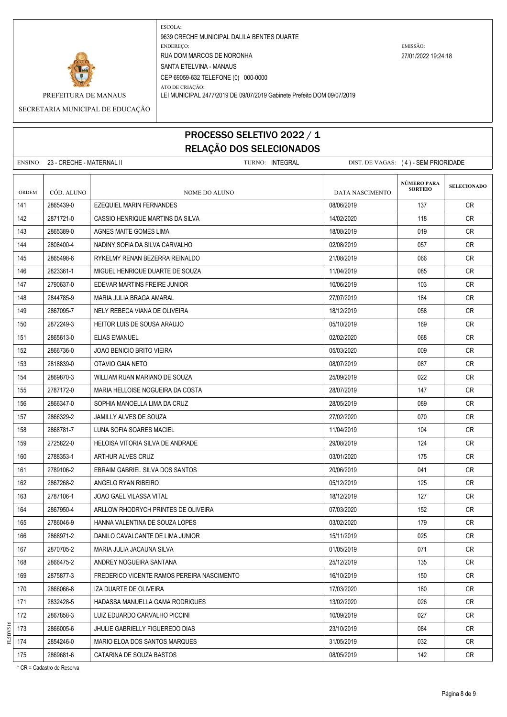

ATO DE CRIAÇÃO: PREFEITURA DE MANAUS LEI MUNICIPAL 2477/2019 DE 09/07/2019 Gabinete Prefeito DOM 09/07/2019

SECRETARIA MUNICIPAL DE EDUCAÇÃO

### PROCESSO SELETIVO 2022 / 1 RELAÇÃO DOS SELECIONADOS

|                                                                                              |            | הטרוטוטובנים טטע טאקאבומ                   |                 |                                      |                    |
|----------------------------------------------------------------------------------------------|------------|--------------------------------------------|-----------------|--------------------------------------|--------------------|
| ENSINO: 23 - CRECHE - MATERNAL II<br>TURNO: INTEGRAL<br>DIST. DE VAGAS: (4) - SEM PRIORIDADE |            |                                            |                 |                                      |                    |
| ORDEM                                                                                        | CÓD. ALUNO | NOME DO ALUNO                              | DATA NASCIMENTO | <b>NÚMERO PARA</b><br><b>SORTEIO</b> | <b>SELECIONADO</b> |
| 141                                                                                          | 2865439-0  | EZEQUIEL MARIN FERNANDES                   | 08/06/2019      | 137                                  | CR                 |
| 142                                                                                          | 2871721-0  | CASSIO HENRIQUE MARTINS DA SILVA           | 14/02/2020      | 118                                  | CR                 |
| 143                                                                                          | 2865389-0  | AGNES MAITE GOMES LIMA                     | 18/08/2019      | 019                                  | <b>CR</b>          |
| 144                                                                                          | 2808400-4  | NADINY SOFIA DA SILVA CARVALHO             | 02/08/2019      | 057                                  | CR                 |
| 145                                                                                          | 2865498-6  | RYKELMY RENAN BEZERRA REINALDO             | 21/08/2019      | 066                                  | CR                 |
| 146                                                                                          | 2823361-1  | MIGUEL HENRIQUE DUARTE DE SOUZA            | 11/04/2019      | 085                                  | <b>CR</b>          |
| 147                                                                                          | 2790637-0  | EDEVAR MARTINS FREIRE JUNIOR               | 10/06/2019      | 103                                  | CR                 |
| 148                                                                                          | 2844785-9  | MARIA JULIA BRAGA AMARAL                   | 27/07/2019      | 184                                  | <b>CR</b>          |
| 149                                                                                          | 2867095-7  | NELY REBECA VIANA DE OLIVEIRA              | 18/12/2019      | 058                                  | <b>CR</b>          |
| 150                                                                                          | 2872249-3  | <b>HEITOR LUIS DE SOUSA ARAUJO</b>         | 05/10/2019      | 169                                  | <b>CR</b>          |
| 151                                                                                          | 2865613-0  | <b>ELIAS EMANUEL</b>                       | 02/02/2020      | 068                                  | <b>CR</b>          |
| 152                                                                                          | 2866736-0  | <b>JOAO BENICIO BRITO VIEIRA</b>           | 05/03/2020      | 009                                  | <b>CR</b>          |
| 153                                                                                          | 2818839-0  | OTAVIO GAIA NETO                           | 08/07/2019      | 087                                  | <b>CR</b>          |
| 154                                                                                          | 2869870-3  | WILLIAM RUAN MARIANO DE SOUZA              | 25/09/2019      | 022                                  | <b>CR</b>          |
| 155                                                                                          | 2787172-0  | MARIA HELLOISE NOGUEIRA DA COSTA           | 28/07/2019      | 147                                  | <b>CR</b>          |
| 156                                                                                          | 2866347-0  | SOPHIA MANOELLA LIMA DA CRUZ               | 28/05/2019      | 089                                  | <b>CR</b>          |
| 157                                                                                          | 2866329-2  | JAMILLY ALVES DE SOUZA                     | 27/02/2020      | 070                                  | <b>CR</b>          |
| 158                                                                                          | 2868781-7  | LUNA SOFIA SOARES MACIEL                   | 11/04/2019      | 104                                  | <b>CR</b>          |
| 159                                                                                          | 2725822-0  | HELOISA VITORIA SILVA DE ANDRADE           | 29/08/2019      | 124                                  | CR                 |
| 160                                                                                          | 2788353-1  | ARTHUR ALVES CRUZ                          | 03/01/2020      | 175                                  | <b>CR</b>          |
| 161                                                                                          | 2789106-2  | EBRAIM GABRIEL SILVA DOS SANTOS            | 20/06/2019      | 041                                  | <b>CR</b>          |
| 162                                                                                          | 2867268-2  | ANGELO RYAN RIBEIRO                        | 05/12/2019      | 125                                  | <b>CR</b>          |
| 163                                                                                          | 2787106-1  | JOAO GAEL VILASSA VITAL                    | 18/12/2019      | 127                                  | <b>CR</b>          |
| 164                                                                                          | 2867950-4  | ARLLOW RHODRYCH PRINTES DE OLIVEIRA        | 07/03/2020      | 152                                  | CR                 |
| 165                                                                                          | 2786046-9  | HANNA VALENTINA DE SOUZA LOPES             | 03/02/2020      | 179                                  | CR                 |
| 166                                                                                          | 2868971-2  | DANILO CAVALCANTE DE LIMA JUNIOR           | 15/11/2019      | 025                                  | CR                 |
| 167                                                                                          | 2870705-2  | MARIA JULIA JACAUNA SILVA                  | 01/05/2019      | 071                                  | <b>CR</b>          |
| 168                                                                                          | 2866475-2  | ANDREY NOGUEIRA SANTANA                    | 25/12/2019      | 135                                  | CR                 |
| 169                                                                                          | 2875877-3  | FREDERICO VICENTE RAMOS PEREIRA NASCIMENTO | 16/10/2019      | 150                                  | CR                 |
| 170                                                                                          | 2866066-8  | IZA DUARTE DE OLIVEIRA                     | 17/03/2020      | 180                                  | CR                 |
| 171                                                                                          | 2832428-5  | HADASSA MANUELLA GAMA RODRIGUES            | 13/02/2020      | 026                                  | CR                 |
| 172                                                                                          | 2867858-3  | LUIZ EDUARDO CARVALHO PICCINI              | 10/09/2019      | 027                                  | CR                 |
| 173                                                                                          | 2866005-6  | JHULIE GABRIELLY FIGUEREDO DIAS            | 23/10/2019      | 084                                  | ${\sf CR}$         |

 2854246-0 MARIO ELOA DOS SANTOS MARQUES 31/05/2019 032 CR 175 2869681-6 CATARINA DE SOUZA BASTOS CONSECTED DE LA CREATIVE CREATIVE DE LA CREATIVE CREATIVE CREATIVE CRE

\* CR = Cadastro de Reserva